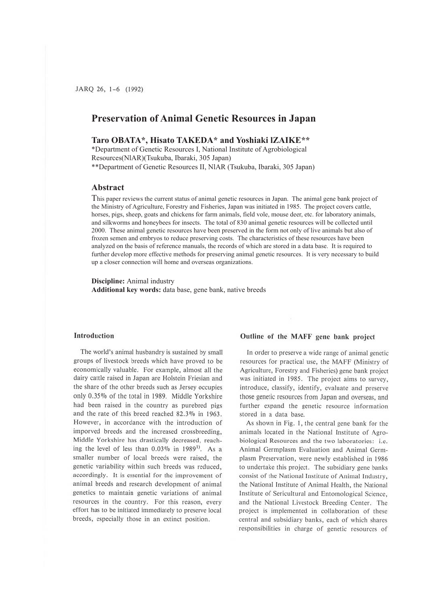# **Preservation of Animal Genetic Resources in Japan**

## **Taro OBATA\*, Hisato TAKEDA\* and Yoshiaki lZAIKE\*\***

\*Department of Genetic Resources I, National Institute of Agrobiological Resources(NlAR)(Tsukuba, Ibaraki, 305 Japan) \*\*Department of Genetic Resources II, NlAR (Tsukuba, Ibaraki, 305 Japan)

## **Abstract**

This paper reviews the current status of animal genetic resources in Japan. The animal gene bank project of the Ministry of Agriculture, Forestry and Fisheries, Japan was initiated in 1985. The project covers cattle, horses, pigs, sheep, goats and chickens for farm animals, field vole, mouse deer, etc. for laboratory animals, and silkworms and honeybees for insects. The total of 830 animal genetic resources will be collected until 2000. These animal genetic resources have been preserved in the form not only of live animals but also of frozen semen and embryos to reduce preserving costs. The characteristics of these resources have been analyzed on the basis of reference manuals, the records of which are stored in a data base. It is required to further develop more effective methods for preserving animal genetic resources. It is very necessary to build up a closer connection will home and overseas organizations.

**Discipline:** Animal industry **Additional key words:** data base, gene bank, native breeds

## **Introduction**

The world's animal husbandry is sustained by small groups of livestock breeds which have proved to be economically valuable. For example, almost all the dairy cattle raised in Japan are Holstein Friesian and the share of the other breeds such as Jersey occupies only 0.35% of the total in 1989. Middle Yorkshire had been raised in the country as purebred pigs and the rate of this breed reached 82.3% in 1963. However, in accordance with the introduction of imporved breeds and the increased crossbreeding, Middle Yorkshire has drastically decreased, reaching the level of less than  $0.03\%$  in 1989<sup>1</sup>. As a smaller number of local breeds were raised, the genetic variability within such breeds was reduced, accordingly. It is essemial for the improvement of animal breeds and research development of animal genetics to maintain genetic variations of animal resources in the country. For this reason, every effort has to be initiated immediately to preserve local breeds, especially those in an extinct position.

## Outline of the MAFF gene bank project

In order to preserve a wide range of animal genetic resources for practical use, the MAFF (Ministry of Agriculture, Forestry and Fisheries) gene bank project was initiated in 1985. The project aims to survey, introduce, classify, identify, evaluate and preserve those genetic resources from Japan and overseas, and further expand the genetic resource information stored in a data base.

As shown in Fig. I, the central gene bank for the animals located in the National Institute of Agrobiological Resources and the two laboratories: i.e. Animal Germplasm Evaluation and Animal Germplasm Preservation, were newly established in 1986 to undertake this project. The subsidiary gene banks consist of the National Institute of Animal Industry, the National Institute of Animal Health, the National Institute of Scricultural and Entomological Science, and the National Livestock Breeding Center. The project is implemented in collaboration of these central and subsidiary banks, each of which shares responsibilities in charge of genetic resources of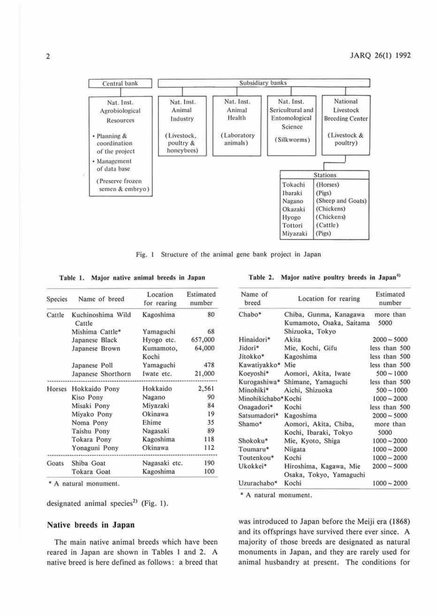

Fig. 1 Structure of the animal gene bank project in Japan

Table 1. Major native animal breeds in Japan

| Species | Name of breed               | Location<br>for rearing number | Estimated |
|---------|-----------------------------|--------------------------------|-----------|
| Cattle  | Kuchinoshima Wild<br>Cattle | Kagoshima                      | 80        |
|         | Mishima Cattle*             | Yamaguchi                      | 68        |
|         | Japanese Black              | Hyogo etc.                     | 657,000   |
|         | Japanese Brown              | Kumamoto,<br>Kochi             | 64,000    |
|         | Japanese Poll               | Yamaguchi                      | 478       |
|         | Japanese Shorthorn          | Iwate etc.                     | 21,000    |
| Horses  | Hokkaido Pony               | Hokkaido                       | 2,561     |
|         | Kiso Pony                   | Nagano                         | 90        |
|         | Misaki Pony                 | Miyazaki                       | 84        |
|         | Miyako Pony                 | Okinawa                        | 19        |
|         | Noma Pony                   | Ehime                          | 35        |
|         | Taishu Pony                 | Nagasaki                       | 89        |
|         | Tokara Pony                 | Kagoshima                      | 118       |
|         | Yonaguni Pony               | Okinawa                        | 112       |
| Goats   | Shiba Goat                  | Nagasaki etc.                  | 190       |
|         | Tokara Goat                 | Kagoshima                      | 100       |

\* A natural monument.

designated animal species<sup>2)</sup> (Fig. 1).

#### Native breeds in Japan

The main native animal breeds which have been reared in Japan are shown in Tables 1 and 2. A native breed is here defined as follows: a breed that

Table 2. Major native poultry breeds in Japan<sup>4)</sup>

| Name of<br>breed     | Location for rearing                               | Estimated<br>number |  |  |
|----------------------|----------------------------------------------------|---------------------|--|--|
| Chabo*               | Chiba, Gunma, Kanagawa<br>Kumamoto, Osaka, Saitama | more than<br>5000   |  |  |
| Hinaidori*           | Shizuoka, Tokyo<br>Akita                           | $2000 - 5000$       |  |  |
|                      |                                                    |                     |  |  |
| Jidori*              | Mie, Kochi, Gifu                                   | less than 500       |  |  |
| Jitokko*             | Kagoshima                                          | less than 500       |  |  |
| Kawatiyakko* Mie     |                                                    | less than 500       |  |  |
| Koeyoshi*            | Aomori, Akita, Iwate                               | $500 - 1000$        |  |  |
| Kurogashiwa*         | Shimane, Yamaguchi                                 | less than 500       |  |  |
| Minohiki*            | Aichi, Shizuoka                                    | $500 - 1000$        |  |  |
| Minohikichabo* Kochi |                                                    | $1000 - 2000$       |  |  |
| Onagadori*           | Kochi                                              | less than 500       |  |  |
| Satsumadori*         | Kagoshima                                          | $2000 - 5000$       |  |  |
| Shamo*               | Aomori, Akita, Chiba,                              | more than           |  |  |
|                      | Kochi, Ibaraki, Tokyo                              | 5000                |  |  |
| Shokoku*             | Mie, Kyoto, Shiga                                  | $1000 - 2000$       |  |  |
| Toumaru*             | <b>Niigata</b>                                     | $1000 - 2000$       |  |  |
| Toutenkou*           | Kochi                                              | $1000 - 2000$       |  |  |
| Ukokkei*             | Hiroshima, Kagawa, Mie<br>Osaka, Tokyo, Yamaguchi  | $2000 - 5000$       |  |  |
| Uzurachabo*          | Kochi                                              | $1000 - 2000$       |  |  |

\* A natural monument.

was introduced to Japan before the Meiji era (1868) and its offsprings have survived there ever since. A majority of those breeds are designated as natural monuments in Japan, and they are rarely used for animal husbandry at present. The conditions for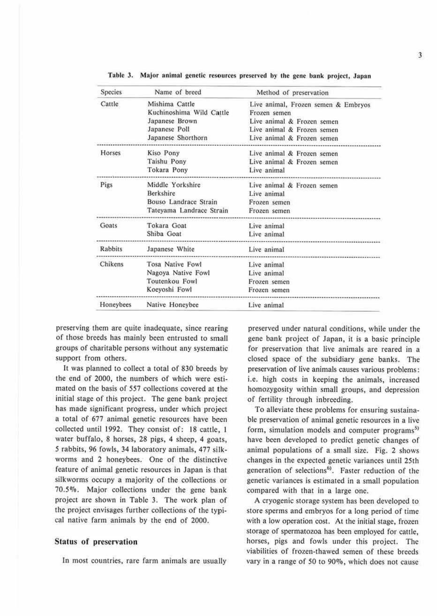| <b>Species</b> | Name of breed            | Method of preservation                |
|----------------|--------------------------|---------------------------------------|
| Cattle         | Mishima Cattle           | Live animal, Frozen semen & Embryos   |
|                | Kuchinoshima Wild Cattle | Frozen semen                          |
|                | Japanese Brown           | Live animal & Frozen semen            |
|                | Japanese Poll            | Live animal & Frozen semen            |
|                | Japanese Shorthorn       | Live animal & Frozen semen            |
| Horses         | Kiso Pony                | Live animal & Frozen semen            |
|                | Taishu Pony              | Live animal & Frozen semen            |
|                | Tokara Pony              | Live animal                           |
| Pigs           | Middle Yorkshire         | Live animal & Frozen semen            |
|                | Berkshire                | Live animal                           |
|                | Bouso Landrace Strain    | Frozen semen                          |
|                | Tateyama Landrace Strain | Frozen semen<br>********************* |
| Goats          | Tokara Goat              | Live animal                           |
|                | Shiba Goat               | Live animal                           |
| Rabbits        | Japanese White           | Live animal                           |
| Chikens        | Tosa Native Fowl         | Live animal                           |
|                | Nagoya Native Fowl       | Live animal                           |
|                | Toutenkou Fowl           | Frozen semen                          |
|                | Koeyoshi Fowl            | Frozen semen                          |
| Honeybees      | Native Honeybee          | Live animal                           |

Table 3. Major animal genetic resources preserved by the gene bank project, Japan

preserving them are quite inadequate, since rearing of those breeds has mainly been entrusted to small groups of charitable persons without any systematic support from others.

It was planned to collect a total of 830 breeds by the end of 2000, the numbers of which were estimated on the basis of 557 collections covered at the initial stage of this project. The gene bank project has made significant progress, under which project a total of 677 animal genetic resources have been collected until 1992. They consist of; 18 cattle, I water buffalo, 8 horses, 28 pigs, 4 sheep, 4 goats, *5* rabbits, 96 fowls, 34 laboratory animals, 477 silkworms and 2 honeybees. One of the distinctive feature of animal genetic resources in Japan is that silkworms occupy a majority of the collections or 70.5%. Major collections under the gene bank project are shown in Table 3. The work plan of the project envisages further collections of the typical native farm animals by the end of 2000.

## **Status of preservation**

ln most countries, rare farm animals are usually

preserved under natural conditions, while under the gene bank project of Japan, it is a basic principle for preservation that live animals are reared in a closed space of the subsidiary gene banks. The preservation of live animals causes various problems: i.e. high costs in keeping the animals, increased homozygosity within small groups, and depression of fertility through inbreeding.

To alleviate these problems for ensuring sustainable preservation of animal genetic resources in a live form, simulation models and computer programs<sup>5)</sup> have been developed to predict genetic changes of animal populations of a small size. Fig. 2 shows changes in the expected genetic variances until 25th generation of selections<sup>6)</sup>. Faster reduction of the genetic variances is estimated in a small population compared with that in a large one.

A cryogenic storage system has been developed to store sperms and embryos for a long period of time with a low operation cost. At the initial stage, frozen storage of spermatozoa has been employed for cattle, horses, pigs and fowls under this project. The viabilities of frozen-thawed semen of these breeds vary in a range of *50* to 90%, which does not cause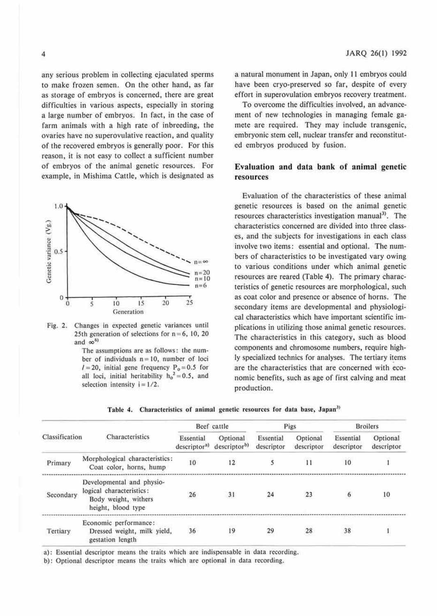any serious problem in collecting ejaculated sperms to make frozen semen. On the other hand, as far as storage of embryos is concerned, there are great difficulties in various aspects, especially in storing a large number of embryos. In fact, in the case of farm animals with a high rate of inbreeding, the ovaries have no superovulative reaction, and quality of 1he recovered embryos is generally poor. Por this reason, it is not easy to collect a sufficient number of embryos of the animal genetic resources. For example, in Mishima Cattle, which is designated as





The assumptions are as follows: the munber of individuals  $n = 10$ , number of loci  $1 = 20$ , initial gene frequency  $P_0 = 0.5$  for all loci, initial heritability  $h_0^2 = 0.5$ , and selection intensity  $i = 1/2$ .

a natural monument in Japan, only 11 embryos could have been cryo-preserved so far, despite of every effort in superovulation embryos recovery treatment.

To overcome the difficulties involved, an advancement of new technologies in managing female gamete are required. They may include transgenic, embryonic stem cell, nuclear transfer and reconstituted embryos produced by fusion.

## **Evaluation and data bank of animal genetic resources**

Evaluation of the characteristics of these animal genetic resources is based on the animal generic resources characteristics investigation manual<sup>3)</sup>. The characteristics concerned are divided into three classes, and the subjects for investigations in each class involve two items: essential and optional. The numbers of characteristics to be investigated vary owing to various conditions under which animal genetic resources are reared (Table 4). The primary characteristics of genetic resources are morphological, such as coat color and presence or absence of horns. The secondary items are developmental and physiological characteristics which have important scientific implications in utilizing those animal genetic resources. The characteristics in this category, such as blood componems and chromosome numbers, require highly specialized technics for analyses. The tertiary items are the characteristics that are concerned with economic benefits, such as age of first calving and meat production.

|                |                                                                                                     |                                       | Beef cattle                          |                         | Pigs                   | <b>Broilers</b>         |                        |  |
|----------------|-----------------------------------------------------------------------------------------------------|---------------------------------------|--------------------------------------|-------------------------|------------------------|-------------------------|------------------------|--|
| Classification | Characteristics                                                                                     | Essential<br>descriptor <sup>a)</sup> | Optional<br>descriptor <sup>b)</sup> | Essential<br>descriptor | Optional<br>descriptor | Essential<br>descriptor | Optional<br>descriptor |  |
| Primary        | Morphological characteristics:<br>Coat color, horns, hump                                           | 10                                    | 12                                   |                         | 11                     | 10                      |                        |  |
| Secondary      | Developmental and physio-<br>logical characteristics:<br>Body weight, withers<br>height, blood type | 26                                    | 31                                   | 24                      | 23                     |                         | 10                     |  |
| Tertiary       | Economic performance:<br>Dressed weight, milk yield,<br>gestation length                            | 36                                    | 19                                   | 29                      | 28                     | 38                      |                        |  |

|  | Table 4. Characteristics of animal genetic resources for data base, Japan <sup>3)</sup> |  |  |  |  |  |  |  |  |
|--|-----------------------------------------------------------------------------------------|--|--|--|--|--|--|--|--|
|--|-----------------------------------------------------------------------------------------|--|--|--|--|--|--|--|--|

a): Essential descriptor means the traits which arc indispensable in data recording.

b): Optional descriptor means the traits which arc optional in data recording.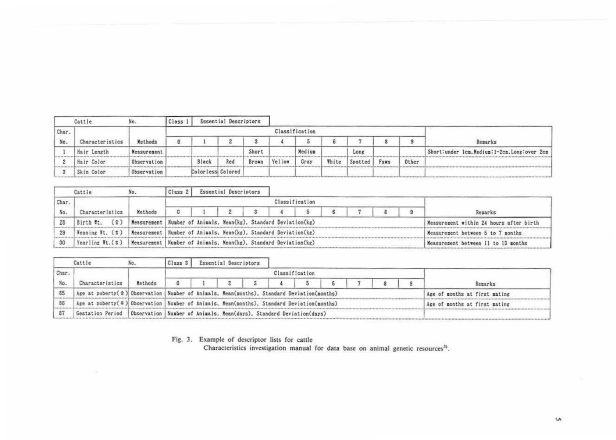|       | Cattle          | NO.         | Class |                   | Essential Descriptors |       |        |                |       |         |      |       |                                                 |
|-------|-----------------|-------------|-------|-------------------|-----------------------|-------|--------|----------------|-------|---------|------|-------|-------------------------------------------------|
| Char. |                 |             |       |                   |                       |       |        | Classification |       |         |      |       |                                                 |
| No.   | Characteristics | Methods     |       |                   |                       |       |        |                |       |         |      | з     | Remarks                                         |
|       | Hair Length     | Measurement |       |                   |                       | Short |        | Medium         |       | Long    |      |       | Short: under lcm. Medium: 1-2cm. Long: over 2cm |
|       | Hair Color      | Observation |       | Black             | Red                   | Brown | Yellow | Gray           | White | Spotted | Fawn | Other |                                                 |
|       | Skin Color      | Observation |       | Colorless Colored |                       |       |        |                |       |         |      |       |                                                 |

|       | Cattle                      | NO.                                                               | Class <sub>2</sub> |                                                                   | Essential Descriptors |   |  |                |  |  |  |                                   |                                         |
|-------|-----------------------------|-------------------------------------------------------------------|--------------------|-------------------------------------------------------------------|-----------------------|---|--|----------------|--|--|--|-----------------------------------|-----------------------------------------|
| Char. |                             |                                                                   |                    |                                                                   |                       |   |  | Classification |  |  |  |                                   |                                         |
| No.   | Characteristics             | Methods                                                           | $\Omega$           |                                                                   |                       | з |  |                |  |  |  |                                   | Remarks                                 |
| 28    | $(\hat{z})$<br>Birth Ft.    | Measurement Number of Animals, Mean(kg), Standard Deviation(kg)   |                    |                                                                   |                       |   |  |                |  |  |  |                                   | Measurement within 24 hours after birth |
|       | $Heaning Ht$ ( $\delta$ )   |                                                                   |                    | Measurement   Number of Animals, Mean(kg), Standard Deviation(kg) |                       |   |  |                |  |  |  | Measurement between 5 to 7 months |                                         |
| 30    | Yearling $Ft.$ ( $\delta$ ) | Measurement   Number of Animals, Mean(kg), Standard Deviation(kg) |                    |                                                                   |                       |   |  |                |  |  |  |                                   | Measurement between 11 to 13 months     |

|       | Cattle                                                                                                     |         | Class 3                                                                                   |  | Essential Descriptors |  |  |                |  |  |  |  |                               |
|-------|------------------------------------------------------------------------------------------------------------|---------|-------------------------------------------------------------------------------------------|--|-----------------------|--|--|----------------|--|--|--|--|-------------------------------|
| Char. |                                                                                                            |         |                                                                                           |  |                       |  |  | Classification |  |  |  |  |                               |
| No.   | Characteristics                                                                                            | Methods | o                                                                                         |  |                       |  |  |                |  |  |  |  | Remarks                       |
|       | Age at puberty( $\hat{\sigma}$ ) Observation   Number of Animals, Mean(months), Standard Deviation(months) |         |                                                                                           |  |                       |  |  |                |  |  |  |  | Age of months at first mating |
| 86    |                                                                                                            |         | Age at puberty(#) Observation Number of Animals, Mean(months), Standard Deviation(months) |  |                       |  |  |                |  |  |  |  | Age of months at first mating |
| 87    | Gestation Period   Observation   Number of Animals, Mean(days), Standard Deviation(days)                   |         |                                                                                           |  |                       |  |  |                |  |  |  |  |                               |

Fig. 3. Example of descriptor lists for cattle<br>Characteristics investigation manual for data base on animal genetic resources<sup>3)</sup>.